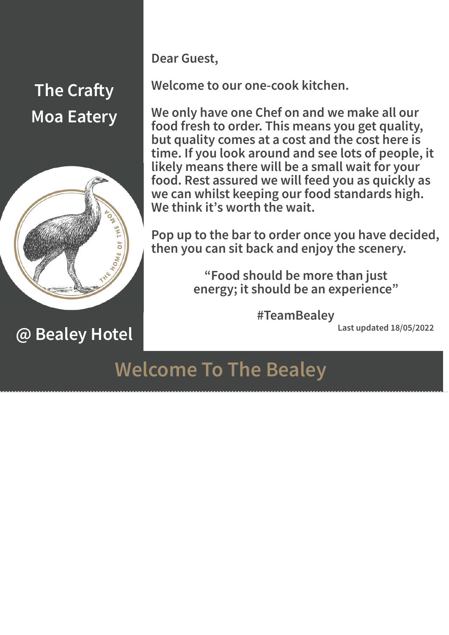

**@ Bealey Hotel**

**Dear Guest,**

**Welcome to our one-cook kitchen.**

**We only have one Chef on and we make all our food fresh to order. This means you get quality, but quality comes at a cost and the cost here is time. If you look around and see lots of people, it likely means there will be a small wait for your food. Rest assured we will feed you as quickly as we can whilst keeping our food standards high. We think it's worth the wait.** 

**Pop up to the bar to order once you have decided, then you can sit back and enjoy the scenery.**

> **"Food should be more than just energy; it should be an experience"**

> > **#TeamBealey**

**Last updated 18/05/2022**

### **Welcome To The Bealey**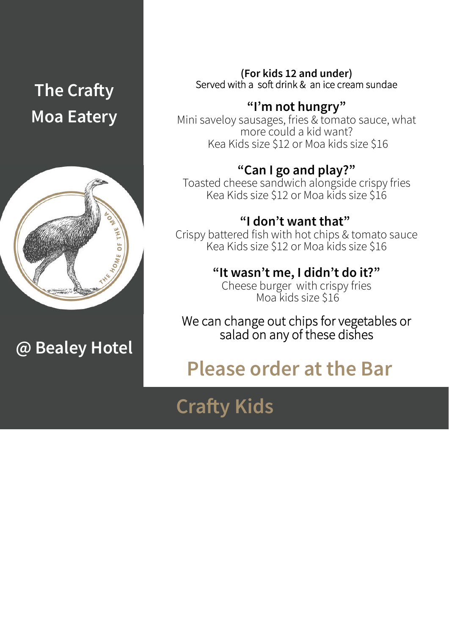

**@ Bealey Hotel**

**(For kids 12 and under)** Served with a soft drink  $&$  an ice cream sundae

**"I'm not hungry"** Mini saveloy sausages, fries & tomato sauce, what more could a kid want? Kea Kids size \$12 or Moa kids size \$16

**"Can I go and play?"**<br>Toasted cheese sandwich alongside crispy fries Kea Kids size \$12 or Moa kids size \$16

**"I don't want that"**  Crispy battered fish with hot chips & tomato sauce Kea Kids size \$12 or Moa kids size \$16

**"It wasn't me, I didn't do it?"** Cheese burger with crispy fries

Moa kids size \$16

We can change out chips for vegetables or salad on any of these dishes

### **Please order at the Bar**

### **Crafty Kids**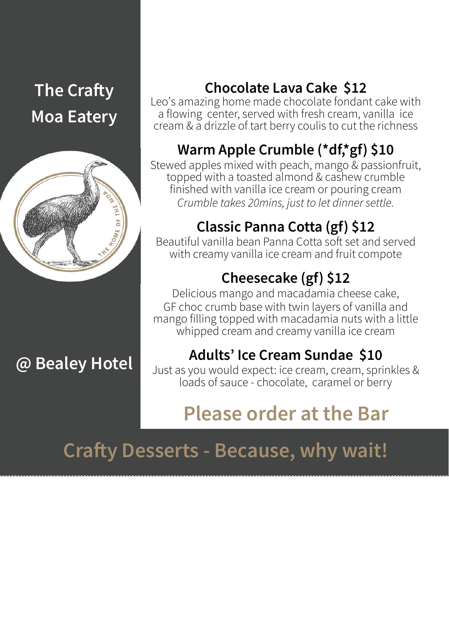

**@ Bealey Hotel**

#### **Chocolate Lava Cake \$12**

Leo's amazing home made chocolate fondant cake with a flowing center, served with fresh cream, vanilla ice cream & a drizzle of tart berry coulis to cut the richness

### **Warm Apple Crumble (\*df,\*gf) \$10**

Stewed apples mixed with peach, mango & passionfruit, topped with a toasted almond & cashew crumble finished with vanilla ice cream or pouring cream *Crumble takes 20mins, just to let dinner settle.* 

#### **Classic Panna Cotta (gf) \$12**

Beautiful vanilla bean Panna Cotta soft set and served with creamy vanilla ice cream and fruit compote

#### **Cheesecake (gf) \$12**

Delicious mango and macadamia cheese cake, GF choc crumb base with twin layers of vanilla and mango filling topped with macadamia nuts with a little whipped cream and creamy vanilla ice cream

#### **Adults' Ice Cream Sundae \$10**

Just as you would expect: ice cream, cream, sprinkles & loads of sauce - chocolate, caramel or berry

# **Please order at the Bar**

# **Crafty Desserts - Because, why wait!**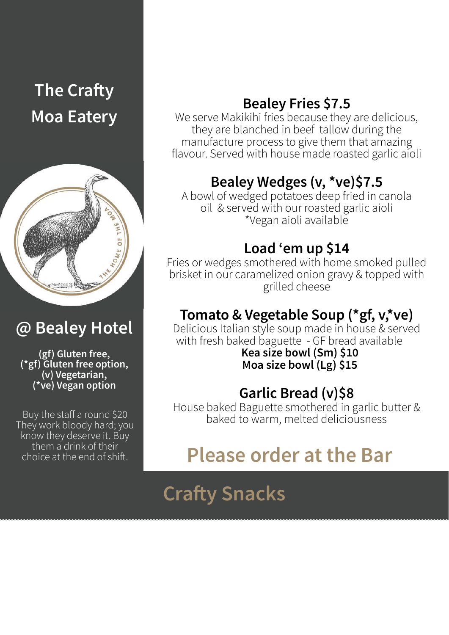

### **@ Bealey Hotel**

**(gf) Gluten free, (\*gf) Gluten free option, (v) Vegetarian, (\*ve) Vegan option**

Buy the staff a round \$20 They work bloody hard; you know they deserve it. Buy them a drink of their choice at the end of shift.

#### **Bealey Fries \$7.5**

We serve Makikihi fries because they are delicious, they are blanched in beef tallow during the manufacture process to give them that amazing flavour. Served with house made roasted garlic aioli

#### **Bealey Wedges (v, \*ve)\$7.5**

A bowl of wedged potatoes deep fried in canola oil & served with our roasted garlic aioli \*Vegan aioli available

#### **Load 'em up \$14**

Fries or wedges smothered with home smoked pulled brisket in our caramelized onion gravy & topped with grilled cheese

#### **Tomato & Vegetable Soup (\*gf, v,\*ve)**

Delicious Italian style soup made in house & served with fresh baked baguette - GF bread available

**Kea size bowl (Sm) \$10 Moa size bowl (Lg) \$15**

#### **Garlic Bread (v)\$8**

House baked Baguette smothered in garlic butter & baked to warm, melted deliciousness

### **Please order at the Bar**

# **Crafty Snacks**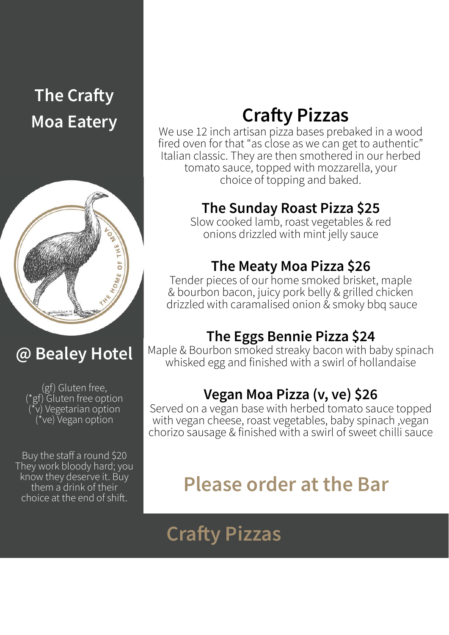

### **@ Bealey Hotel**

(gf) Gluten free, (\*gf) Gluten free option  $\widetilde{v}$ ) Vegetarian option (\*ve) Vegan option

Buy the staff a round \$20 They work bloody hard; you know they deserve it. Buy them a drink of their choice at the end of shift.

### **Crafty Pizzas**

We use 12 inch artisan pizza bases prebaked in a wood fired oven for that "as close as we can get to authentic" Italian classic. They are then smothered in our herbed tomato sauce, topped with mozzarella, your choice of topping and baked.

#### **The Sunday Roast Pizza \$25**

Slow cooked lamb, roast vegetables & red onions drizzled with mint jelly sauce

#### **The Meaty Moa Pizza \$26**

Tender pieces of our home smoked brisket, maple & bourbon bacon, juicy pork belly & grilled chicken drizzled with caramalised onion & smoky bbq sauce

#### **The Eggs Bennie Pizza \$24**

Maple & Bourbon smoked streaky bacon with baby spinach whisked egg and finished with a swirl of hollandaise

#### **Vegan Moa Pizza (v, ve) \$26**

Served on a vegan base with herbed tomato sauce topped with vegan cheese, roast vegetables, baby spinach ,vegan chorizo sausage & finished with a swirl of sweet chilli sauce

# **Please order at the Bar**

# **Crafty Pizzas**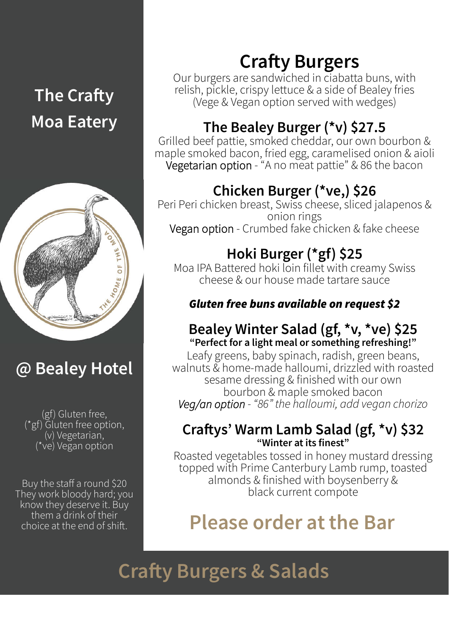

### **@ Bealey Hotel**

(gf) Gluten free, (\*gf) Gluten free option, (v) Vegetarian, (\*ve) Vegan option

Buy the staff a round \$20 They work bloody hard; you know they deserve it. Buy them a drink of their<br>choice at the end of shift.

### **Crafty Burgers**

Our burgers are sandwiched in ciabatta buns, with relish, pickle, crispy lettuce & a side of Bealey fries (Vege & Vegan option served with wedges)

#### **The Bealey Burger (\*v) \$27.5**

Grilled beef pattie, smoked cheddar, our own bourbon & maple smoked bacon, fried egg, caramelised onion & aioli Vegetarian option - "A no meat pattie" & 86 the bacon

#### **Chicken Burger (\*ve,) \$26**

Peri Peri chicken breast, Swiss cheese, sliced jalapenos & onion rings Vegan option - Crumbed fake chicken & fake cheese

### **Hoki Burger (\*gf) \$25**

Moa IPA Battered hoki loin fillet with creamy Swiss cheese & our house made tartare sauce

#### *Gluten free buns available on request \$2*

#### **Bealey Winter Salad (gf, \*v, \*ve) \$25 "Perfect for a light meal or something refreshing!"**

Leafy greens, baby spinach, radish, green beans, walnuts & home-made halloumi, drizzled with roasted sesame dressing & finished with our own bourbon & maple smoked bacon *Veg/an option - "86" the halloumi, add vegan chorizo* 

#### **Crays' Warm Lamb Salad (gf, \*v) \$32 "Winter at its finest"**

Roasted vegetables tossed in honey mustard dressing topped with Prime Canterbury Lamb rump, toasted almonds & finished with boysenberry & black current compote

# **Please order at the Bar.**

**Crafty Burgers & Salads**